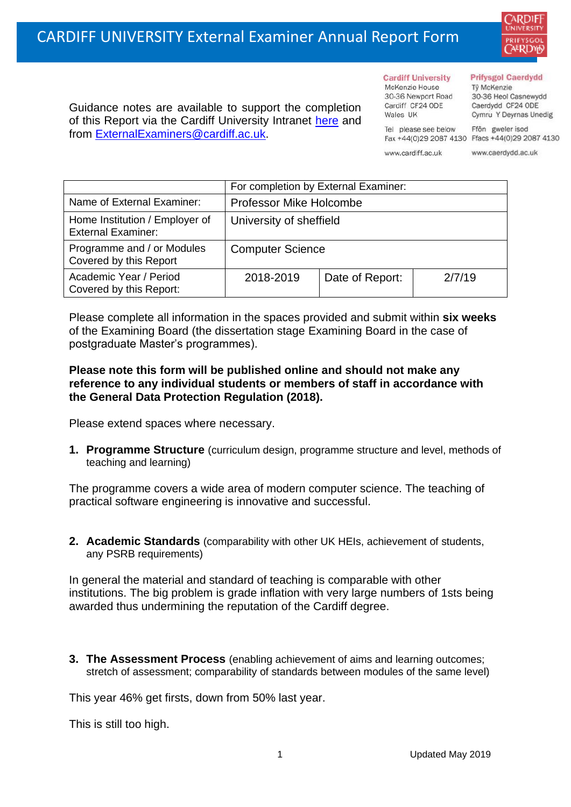

Guidance notes are available to support the completion of this Report via the Cardiff University Intranet [here](https://intranet.cardiff.ac.uk/staff/teaching-and-supporting-students/exams-and-assessment/exam-boards-and-external-examiners/for-current-external-examiners/external-examiners-reports) and from [ExternalExaminers@cardiff.ac.uk.](mailto:ExternalExaminers@cardiff.ac.uk)

**Cardiff University** McKenzie House 30-36 Newport Road Cardiff CF24 ODE

Wales UK

#### **Prifysgol Caerdydd**

Từ McKenzie 30-36 Heol Casnewydd Caerdydd CF24 ODE Cymru Y Deyrnas Unedig

Ffôn gweler isod Fax +44(0)29 2087 4130 Ffacs +44(0)29 2087 4130

www.cardiff.ac.uk

Tel please see below

www.caerdydd.ac.uk

|                                                             | For completion by External Examiner: |                 |        |  |
|-------------------------------------------------------------|--------------------------------------|-----------------|--------|--|
| Name of External Examiner:                                  | <b>Professor Mike Holcombe</b>       |                 |        |  |
| Home Institution / Employer of<br><b>External Examiner:</b> | University of sheffield              |                 |        |  |
| Programme and / or Modules<br>Covered by this Report        | <b>Computer Science</b>              |                 |        |  |
| Academic Year / Period<br>Covered by this Report:           | 2018-2019                            | Date of Report: | 2/7/19 |  |

Please complete all information in the spaces provided and submit within **six weeks** of the Examining Board (the dissertation stage Examining Board in the case of postgraduate Master's programmes).

## **Please note this form will be published online and should not make any reference to any individual students or members of staff in accordance with the General Data Protection Regulation (2018).**

Please extend spaces where necessary.

**1. Programme Structure** (curriculum design, programme structure and level, methods of teaching and learning)

The programme covers a wide area of modern computer science. The teaching of practical software engineering is innovative and successful.

**2. Academic Standards** (comparability with other UK HEIs, achievement of students, any PSRB requirements)

In general the material and standard of teaching is comparable with other institutions. The big problem is grade inflation with very large numbers of 1sts being awarded thus undermining the reputation of the Cardiff degree.

**3. The Assessment Process** (enabling achievement of aims and learning outcomes; stretch of assessment; comparability of standards between modules of the same level)

This year 46% get firsts, down from 50% last year.

This is still too high.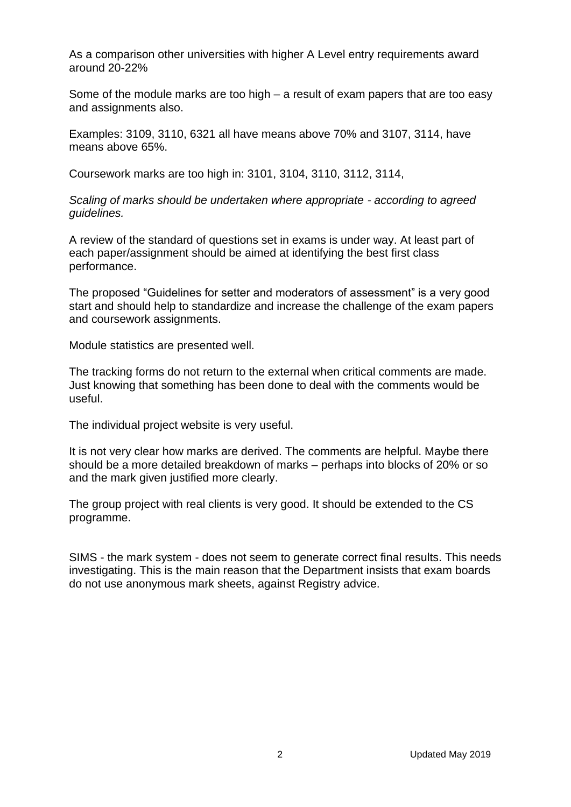As a comparison other universities with higher A Level entry requirements award around 20-22%

Some of the module marks are too high – a result of exam papers that are too easy and assignments also.

Examples: 3109, 3110, 6321 all have means above 70% and 3107, 3114, have means above 65%.

Coursework marks are too high in: 3101, 3104, 3110, 3112, 3114,

*Scaling of marks should be undertaken where appropriate - according to agreed guidelines.* 

A review of the standard of questions set in exams is under way. At least part of each paper/assignment should be aimed at identifying the best first class performance.

The proposed "Guidelines for setter and moderators of assessment" is a very good start and should help to standardize and increase the challenge of the exam papers and coursework assignments.

Module statistics are presented well.

The tracking forms do not return to the external when critical comments are made. Just knowing that something has been done to deal with the comments would be useful.

The individual project website is very useful.

It is not very clear how marks are derived. The comments are helpful. Maybe there should be a more detailed breakdown of marks – perhaps into blocks of 20% or so and the mark given justified more clearly.

The group project with real clients is very good. It should be extended to the CS programme.

SIMS - the mark system - does not seem to generate correct final results. This needs investigating. This is the main reason that the Department insists that exam boards do not use anonymous mark sheets, against Registry advice.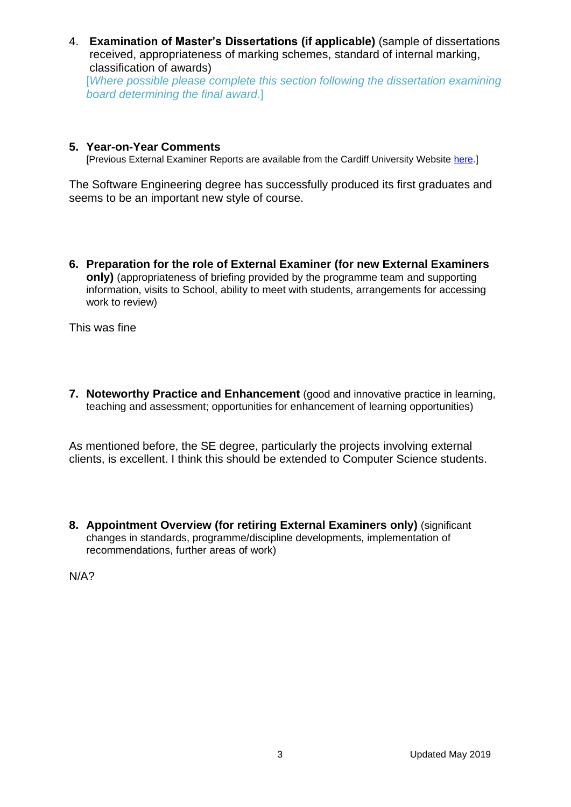4. **Examination of Master's Dissertations (if applicable)** (sample of dissertations received, appropriateness of marking schemes, standard of internal marking, classification of awards) [*Where possible please complete this section following the dissertation examining* 

*board determining the final award*.]

# **5. Year-on-Year Comments**

[Previous External Examiner Reports are available from the Cardiff University Website [here.](https://www.cardiff.ac.uk/public-information/quality-and-standards/external-examiner-reports)]

The Software Engineering degree has successfully produced its first graduates and seems to be an important new style of course.

**6. Preparation for the role of External Examiner (for new External Examiners only)** (appropriateness of briefing provided by the programme team and supporting information, visits to School, ability to meet with students, arrangements for accessing work to review)

This was fine

**7. Noteworthy Practice and Enhancement** (good and innovative practice in learning, teaching and assessment; opportunities for enhancement of learning opportunities)

As mentioned before, the SE degree, particularly the projects involving external clients, is excellent. I think this should be extended to Computer Science students.

**8. Appointment Overview (for retiring External Examiners only)** (significant changes in standards, programme/discipline developments, implementation of recommendations, further areas of work)

N/A?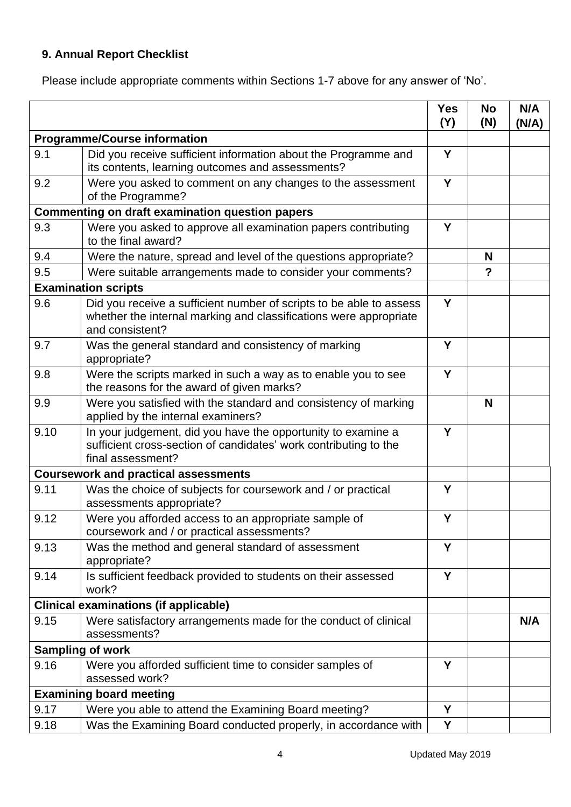# **9. Annual Report Checklist**

Please include appropriate comments within Sections 1-7 above for any answer of 'No'.

|                                                        |                                                                                                                                                             | <b>Yes</b><br>(Y) | <b>No</b><br>(N) | N/A<br>(N/A) |
|--------------------------------------------------------|-------------------------------------------------------------------------------------------------------------------------------------------------------------|-------------------|------------------|--------------|
| <b>Programme/Course information</b>                    |                                                                                                                                                             |                   |                  |              |
| 9.1                                                    | Did you receive sufficient information about the Programme and<br>its contents, learning outcomes and assessments?                                          | Y                 |                  |              |
| 9.2                                                    | Were you asked to comment on any changes to the assessment<br>of the Programme?                                                                             | Y                 |                  |              |
| <b>Commenting on draft examination question papers</b> |                                                                                                                                                             |                   |                  |              |
| 9.3                                                    | Were you asked to approve all examination papers contributing<br>to the final award?                                                                        | Y                 |                  |              |
| 9.4                                                    | Were the nature, spread and level of the questions appropriate?                                                                                             |                   | N                |              |
| 9.5                                                    | Were suitable arrangements made to consider your comments?                                                                                                  |                   | $\overline{?}$   |              |
|                                                        | <b>Examination scripts</b>                                                                                                                                  |                   |                  |              |
| 9.6                                                    | Did you receive a sufficient number of scripts to be able to assess<br>whether the internal marking and classifications were appropriate<br>and consistent? | Y                 |                  |              |
| 9.7                                                    | Was the general standard and consistency of marking<br>appropriate?                                                                                         | Y                 |                  |              |
| 9.8                                                    | Were the scripts marked in such a way as to enable you to see<br>the reasons for the award of given marks?                                                  | Y                 |                  |              |
| 9.9                                                    | Were you satisfied with the standard and consistency of marking<br>applied by the internal examiners?                                                       |                   | N                |              |
| 9.10                                                   | In your judgement, did you have the opportunity to examine a<br>sufficient cross-section of candidates' work contributing to the<br>final assessment?       | Y                 |                  |              |
|                                                        | <b>Coursework and practical assessments</b>                                                                                                                 |                   |                  |              |
| 9.11                                                   | Was the choice of subjects for coursework and / or practical<br>assessments appropriate?                                                                    | Y                 |                  |              |
| 9.12                                                   | Were you afforded access to an appropriate sample of<br>coursework and / or practical assessments?                                                          | Y                 |                  |              |
| 9.13                                                   | Was the method and general standard of assessment<br>appropriate?                                                                                           | Y                 |                  |              |
| 9.14                                                   | Is sufficient feedback provided to students on their assessed<br>work?                                                                                      | Y                 |                  |              |
|                                                        | <b>Clinical examinations (if applicable)</b>                                                                                                                |                   |                  |              |
| 9.15                                                   | Were satisfactory arrangements made for the conduct of clinical<br>assessments?                                                                             |                   |                  | N/A          |
| <b>Sampling of work</b>                                |                                                                                                                                                             |                   |                  |              |
| 9.16                                                   | Were you afforded sufficient time to consider samples of<br>assessed work?                                                                                  | Y                 |                  |              |
|                                                        | <b>Examining board meeting</b>                                                                                                                              |                   |                  |              |
| 9.17                                                   | Were you able to attend the Examining Board meeting?                                                                                                        | Y                 |                  |              |
| 9.18                                                   | Was the Examining Board conducted properly, in accordance with                                                                                              | Y                 |                  |              |